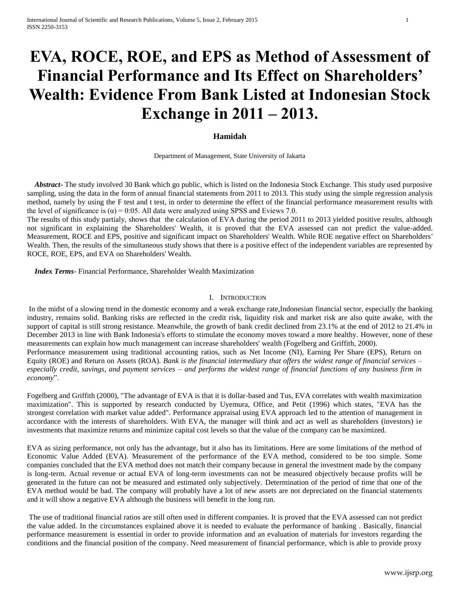# **EVA, ROCE, ROE, and EPS as Method of Assessment of Financial Performance and Its Effect on Shareholders' Wealth: Evidence From Bank Listed at Indonesian Stock Exchange in 2011 – 2013.**

## **Hamidah**

Department of Management, State University of Jakarta

 *Abstract***-** The study involved 30 Bank which go public, which is listed on the Indonesia Stock Exchange. This study used purposive sampling, using the data in the form of annual financial statements from 2011 to 2013. This study using the simple regression analysis method, namely by using the F test and t test, in order to determine the effect of the financial performance measurement results with the level of significance is  $\alpha$  = 0:05. All data were analyzed using SPSS and Eviews 7.0.

The results of this study partialy, shows that the calculation of EVA during the period 2011 to 2013 yielded positive results, although not significant in explaining the Shareholders' Wealth, it is proved that the EVA assessed can not predict the value-added. Measurement, ROCE and EPS, positive and significant impact on Shareholders' Wealth. While ROE negative effect on Shareholders' Wealth. Then, the results of the simultaneous study shows that there is a positive effect of the independent variables are represented by ROCE, ROE, EPS, and EVA on Shareholders' Wealth.

 *Index Terms*- Financial Performance, Shareholder Wealth Maximization

## I. INTRODUCTION

In the midst of a slowing trend in the domestic economy and a weak exchange rate,Indonesian financial sector, especially the banking industry, remains solid. Banking risks are reflected in the credit risk, liquidity risk and market risk are also quite awake, with the support of capital is still strong resistance. Meanwhile, the growth of bank credit declined from 23.1% at the end of 2012 to 21.4% in December 2013 in line with Bank Indonesia's efforts to stimulate the economy moves toward a more healthy. However, none of these measurements can explain how much management can increase shareholders' wealth (Fogelberg and Griffith, 2000). Performance measurement using traditional accounting ratios, such as Net Income (NI), Earning Per Share (EPS), Return on Equity (ROE) and Return on Assets (ROA). *Bank is the financial intermediary that offers the widest range of financial services – especially credit, savings, and payment services – and performs the widest range of financial functions of any business firm in economy*".

Fogelberg and Griffith (2000), "The advantage of EVA is that it is dollar-based and Tus, EVA correlates with wealth maximization maximization". This is supported by research conducted by Uyemura, Office, and Petit (1996) which states, "EVA has the strongest correlation with market value added". Performance appraisal using EVA approach led to the attention of management in accordance with the interests of shareholders. With EVA, the manager will think and act as well as shareholders (investors) ie investments that maximize returns and minimize capital cost levels so that the value of the company can be maximized.

EVA as sizing performance, not only has the advantage, but it also has its limitations. Here are some limitations of the method of Economic Value Added (EVA). Measurement of the performance of the EVA method, considered to be too simple. Some companies concluded that the EVA method does not match their company because in general the investment made by the company is long-term. Actual revenue or actual EVA of long-term investments can not be measured objectively because profits will be generated in the future can not be measured and estimated only subjectively. Determination of the period of time that one of the EVA method would be bad. The company will probably have a lot of new assets are not depreciated on the financial statements and it will show a negative EVA although the business will benefit in the long run.

The use of traditional financial ratios are still often used in different companies. It is proved that the EVA assessed can not predict the value added. In the circumstances explained above it is needed to evaluate the performance of banking . Basically, financial performance measurement is essential in order to provide information and an evaluation of materials for investors regarding the conditions and the financial position of the company. Need measurement of financial performance, which is able to provide proxy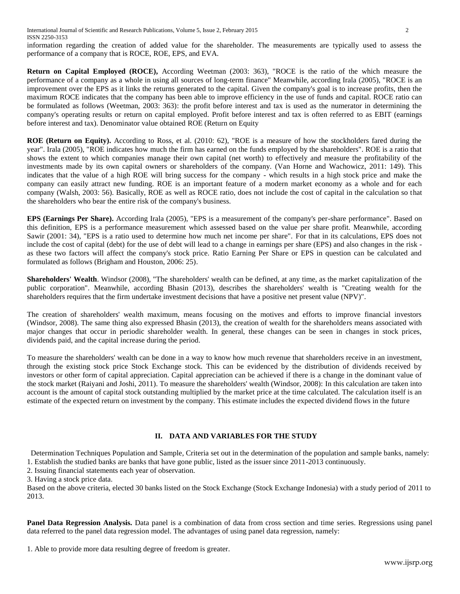information regarding the creation of added value for the shareholder. The measurements are typically used to assess the performance of a company that is ROCE, ROE, EPS, and EVA.

**Return on Capital Employed (ROCE),** According Weetman (2003: 363), "ROCE is the ratio of the which measure the performance of a company as a whole in using all sources of long-term finance" Meanwhile, according Irala (2005), "ROCE is an improvement over the EPS as it links the returns generated to the capital. Given the company's goal is to increase profits, then the maximum ROCE indicates that the company has been able to improve efficiency in the use of funds and capital. ROCE ratio can be formulated as follows (Weetman, 2003: 363): the profit before interest and tax is used as the numerator in determining the company's operating results or return on capital employed. Profit before interest and tax is often referred to as EBIT (earnings before interest and tax). Denominator value obtained ROE (Return on Equity

**ROE (Return on Equity).** According to Ross, et al. (2010: 62), "ROE is a measure of how the stockholders fared during the year". Irala (2005), "ROE indicates how much the firm has earned on the funds employed by the shareholders". ROE is a ratio that shows the extent to which companies manage their own capital (net worth) to effectively and measure the profitability of the investments made by its own capital owners or shareholders of the company. (Van Horne and Wachowicz, 2011: 149). This indicates that the value of a high ROE will bring success for the company - which results in a high stock price and make the company can easily attract new funding. ROE is an important feature of a modern market economy as a whole and for each company (Walsh, 2003: 56). Basically, ROE as well as ROCE ratio, does not include the cost of capital in the calculation so that the shareholders who bear the entire risk of the company's business.

**EPS (Earnings Per Share).** According Irala (2005), "EPS is a measurement of the company's per-share performance". Based on this definition, EPS is a performance measurement which assessed based on the value per share profit. Meanwhile, according Sawir (2001: 34), "EPS is a ratio used to determine how much net income per share". For that in its calculations, EPS does not include the cost of capital (debt) for the use of debt will lead to a change in earnings per share (EPS) and also changes in the risk as these two factors will affect the company's stock price. Ratio Earning Per Share or EPS in question can be calculated and formulated as follows (Brigham and Houston, 2006: 25).

**Shareholders' Wealth**. Windsor (2008), "The shareholders' wealth can be defined, at any time, as the market capitalization of the public corporation". Meanwhile, according Bhasin (2013), describes the shareholders' wealth is "Creating wealth for the shareholders requires that the firm undertake investment decisions that have a positive net present value (NPV)".

The creation of shareholders' wealth maximum, means focusing on the motives and efforts to improve financial investors (Windsor, 2008). The same thing also expressed Bhasin (2013), the creation of wealth for the shareholders means associated with major changes that occur in periodic shareholder wealth. In general, these changes can be seen in changes in stock prices, dividends paid, and the capital increase during the period.

To measure the shareholders' wealth can be done in a way to know how much revenue that shareholders receive in an investment, through the existing stock price Stock Exchange stock. This can be evidenced by the distribution of dividends received by investors or other form of capital appreciation. Capital appreciation can be achieved if there is a change in the dominant value of the stock market (Raiyani and Joshi, 2011). To measure the shareholders' wealth (Windsor, 2008): In this calculation are taken into account is the amount of capital stock outstanding multiplied by the market price at the time calculated. The calculation itself is an estimate of the expected return on investment by the company. This estimate includes the expected dividend flows in the future

# **II. DATA AND VARIABLES FOR THE STUDY**

Determination Techniques Population and Sample, Criteria set out in the determination of the population and sample banks, namely:

1. Establish the studied banks are banks that have gone public, listed as the issuer since 2011-2013 continuously. 2. Issuing financial statements each year of observation.

3. Having a stock price data.

Based on the above criteria, elected 30 banks listed on the Stock Exchange (Stock Exchange Indonesia) with a study period of 2011 to 2013.

**Panel Data Regression Analysis.** Data panel is a combination of data from cross section and time series. Regressions using panel data referred to the panel data regression model. The advantages of using panel data regression, namely:

1. Able to provide more data resulting degree of freedom is greater.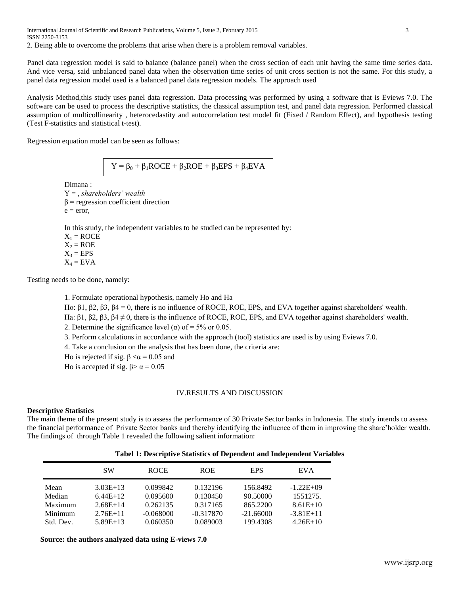International Journal of Scientific and Research Publications, Volume 5, Issue 2, February 2015 3 ISSN 2250-3153 2. Being able to overcome the problems that arise when there is a problem removal variables.

Panel data regression model is said to balance (balance panel) when the cross section of each unit having the same time series data. And vice versa, said unbalanced panel data when the observation time series of unit cross section is not the same. For this study, a panel data regression model used is a balanced panel data regression models. The approach used

Analysis Method,this study uses panel data regression. Data processing was performed by using a software that is Eviews 7.0. The software can be used to process the descriptive statistics, the classical assumption test, and panel data regression. Performed classical assumption of multicollinearity , heterocedastity and autocorrelation test model fit (Fixed / Random Effect), and hypothesis testing (Test F-statistics and statistical t-test).

Regression equation model can be seen as follows:

 $Y = \beta_0 + \beta_1 ROCE + \beta_2 ROE + \beta_3 EPS + \beta_4 EVA$ 

Dimana :

Y = , *shareholders' wealth*  $\beta$  = regression coefficient direction  $e = error$ ,

In this study, the independent variables to be studied can be represented by:

 $X_1 = ROCE$  $X_2 = ROE$  $X_3 = EPS$  $X_4 = EVA$ 

Testing needs to be done, namely:

1. Formulate operational hypothesis, namely Ho and Ha

Ho: β1, β2, β3, β4 = 0, there is no influence of ROCE, ROE, EPS, and EVA together against shareholders' wealth.

Ha: β1, β2, β3, β4  $\neq$  0, there is the influence of ROCE, ROE, EPS, and EVA together against shareholders' wealth.

2. Determine the significance level ( $\alpha$ ) of = 5% or 0.05.

3. Perform calculations in accordance with the approach (tool) statistics are used is by using Eviews 7.0.

4. Take a conclusion on the analysis that has been done, the criteria are:

Ho is rejected if sig.  $β < α = 0.05$  and

Ho is accepted if sig.  $β > α = 0.05$ 

## IV.RESULTS AND DISCUSSION

## **Descriptive Statistics**

The main theme of the present study is to assess the performance of 30 Private Sector banks in Indonesia. The study intends to assess the financial performance of Private Sector banks and thereby identifying the influence of them in improving the share'holder wealth. The findings of through Table 1 revealed the following salient information:

| Tabel 1: Descriptive Statistics of Dependent and Independent Variables |  |  |
|------------------------------------------------------------------------|--|--|
|                                                                        |  |  |

|           | <b>SW</b>  | <b>ROCE</b> | <b>ROE</b>  | <b>EPS</b>  | EV A        |
|-----------|------------|-------------|-------------|-------------|-------------|
| Mean      | $3.03E+13$ | 0.099842    | 0.132196    | 156.8492    | $-1.22E+09$ |
| Median    | $6.44E+12$ | 0.095600    | 0.130450    | 90.50000    | 1551275.    |
| Maximum   | $2.68E+14$ | 0.262135    | 0.317165    | 865.2200    | $8.61E+10$  |
| Minimum   | $2.76E+11$ | $-0.068000$ | $-0.317870$ | $-21.66000$ | $-3.81E+11$ |
| Std. Dev. | $5.89E+13$ | 0.060350    | 0.089003    | 199.4308    | $4.26E+10$  |

 **Source: the authors analyzed data using E-views 7.0**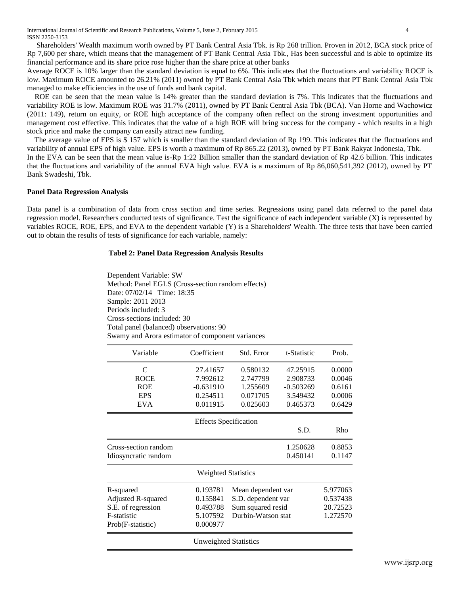International Journal of Scientific and Research Publications, Volume 5, Issue 2, February 2015 4 ISSN 2250-3153

 Shareholders' Wealth maximum worth owned by PT Bank Central Asia Tbk. is Rp 268 trillion. Proven in 2012, BCA stock price of Rp 7,600 per share, which means that the management of PT Bank Central Asia Tbk., Has been successful and is able to optimize its financial performance and its share price rose higher than the share price at other banks

Average ROCE is 10% larger than the standard deviation is equal to 6%. This indicates that the fluctuations and variability ROCE is low. Maximum ROCE amounted to 26.21% (2011) owned by PT Bank Central Asia Tbk which means that PT Bank Central Asia Tbk managed to make efficiencies in the use of funds and bank capital.

ROE can be seen that the mean value is 14% greater than the standard deviation is 7%. This indicates that the fluctuations and variability ROE is low. Maximum ROE was 31.7% (2011), owned by PT Bank Central Asia Tbk (BCA). Van Horne and Wachowicz (2011: 149), return on equity, or ROE high acceptance of the company often reflect on the strong investment opportunities and management cost effective. This indicates that the value of a high ROE will bring success for the company - which results in a high stock price and make the company can easily attract new funding.

 The average value of EPS is \$ 157 which is smaller than the standard deviation of Rp 199. This indicates that the fluctuations and variability of annual EPS of high value. EPS is worth a maximum of Rp 865.22 (2013), owned by PT Bank Rakyat Indonesia, Tbk. In the EVA can be seen that the mean value is-Rp 1:22 Billion smaller than the standard deviation of Rp 42.6 billion. This indicates that the fluctuations and variability of the annual EVA high value. EVA is a maximum of Rp 86,060,541,392 (2012), owned by PT Bank Swadeshi, Tbk.

## **Panel Data Regression Analysis**

Data panel is a combination of data from cross section and time series. Regressions using panel data referred to the panel data regression model. Researchers conducted tests of significance. Test the significance of each independent variable (X) is represented by variables ROCE, ROE, EPS, and EVA to the dependent variable (Y) is a Shareholders' Wealth. The three tests that have been carried out to obtain the results of tests of significance for each variable, namely:

#### **Tabel 2: Panel Data Regression Analysis Results**

Dependent Variable: SW Method: Panel EGLS (Cross-section random effects) Date: 07/02/14 Time: 18:35 Sample: 2011 2013 Periods included: 3 Cross-sections included: 30 Total panel (balanced) observations: 90 Swamy and Arora estimator of component variances

| Variable             | Coefficient                  | Std. Error         | t-Statistic | Prob.    |
|----------------------|------------------------------|--------------------|-------------|----------|
| C                    | 27.41657                     | 0.580132           | 47.25915    | 0.0000   |
| <b>ROCE</b>          | 7.992612                     | 2.747799           | 2.908733    | 0.0046   |
| <b>ROE</b>           | $-0.631910$                  | 1.255609           | $-0.503269$ | 0.6161   |
| <b>EPS</b>           | 0.254511                     | 0.071705           | 3.549432    | 0.0006   |
| <b>EVA</b>           | 0.011915                     | 0.025603           | 0.465373    | 0.6429   |
|                      | <b>Effects Specification</b> |                    |             |          |
|                      |                              |                    | S.D.        | Rho      |
| Cross-section random |                              |                    | 1.250628    | 0.8853   |
| Idiosyncratic random |                              |                    | 0.450141    | 0.1147   |
|                      | <b>Weighted Statistics</b>   |                    |             |          |
| R-squared            | 0.193781                     | Mean dependent var |             | 5.977063 |
| Adjusted R-squared   | 0.155841                     | S.D. dependent var |             | 0.537438 |
| S.E. of regression   | 0.493788                     | Sum squared resid  |             | 20.72523 |
| F-statistic          | 5.107592                     | Durbin-Watson stat |             | 1.272570 |
| Prob(F-statistic)    | 0.000977                     |                    |             |          |
|                      | Unweighted Statistics        |                    |             |          |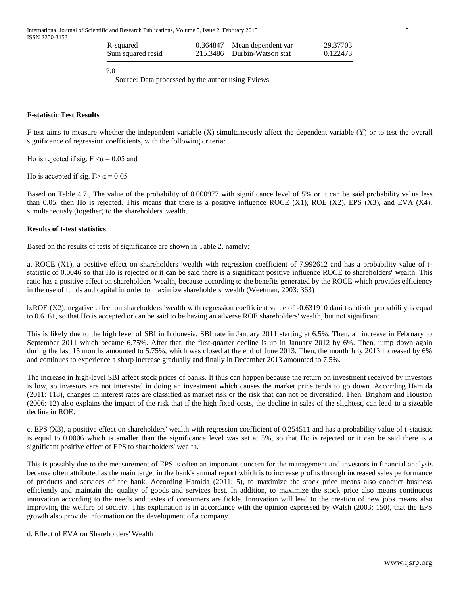| R-squared         | 0.364847 Mean dependent var | 29.37703 |
|-------------------|-----------------------------|----------|
| Sum squared resid | 215.3486 Durbin-Watson stat | 0.122473 |

7.0

Source: Data processed by the author using Eviews

## **F-statistic Test Results**

F test aims to measure whether the independent variable (X) simultaneously affect the dependent variable (Y) or to test the overall significance of regression coefficients, with the following criteria:

Ho is rejected if sig.  $F \le \alpha = 0.05$  and

Ho is accepted if sig. F  $\alpha$  = 0:05

Based on Table 4.7., The value of the probability of 0.000977 with significance level of 5% or it can be said probability value less than 0.05, then Ho is rejected. This means that there is a positive influence ROCE  $(X1)$ , ROE  $(X2)$ , EPS  $(X3)$ , and EVA  $(X4)$ , simultaneously (together) to the shareholders' wealth.

## **Results of t-test statistics**

Based on the results of tests of significance are shown in Table 2, namely:

a. ROCE (X1), a positive effect on shareholders 'wealth with regression coefficient of 7.992612 and has a probability value of tstatistic of 0.0046 so that Ho is rejected or it can be said there is a significant positive influence ROCE to shareholders' wealth. This ratio has a positive effect on shareholders 'wealth, because according to the benefits generated by the ROCE which provides efficiency in the use of funds and capital in order to maximize shareholders' wealth (Weetman, 2003: 363)

b.ROE (X2), negative effect on shareholders 'wealth with regression coefficient value of -0.631910 dani t-statistic probability is equal to 0.6161, so that Ho is accepted or can be said to be having an adverse ROE shareholders' wealth, but not significant.

This is likely due to the high level of SBI in Indonesia, SBI rate in January 2011 starting at 6.5%. Then, an increase in February to September 2011 which became 6.75%. After that, the first-quarter decline is up in January 2012 by 6%. Then, jump down again during the last 15 months amounted to 5.75%, which was closed at the end of June 2013. Then, the month July 2013 increased by 6% and continues to experience a sharp increase gradually and finally in December 2013 amounted to 7.5%.

The increase in high-level SBI affect stock prices of banks. It thus can happen because the return on investment received by investors is low, so investors are not interested in doing an investment which causes the market price tends to go down. According Hamida (2011: 118), changes in interest rates are classified as market risk or the risk that can not be diversified. Then, Brigham and Houston (2006: 12) also explains the impact of the risk that if the high fixed costs, the decline in sales of the slightest, can lead to a sizeable decline in ROE.

c. EPS (X3), a positive effect on shareholders' wealth with regression coefficient of 0.254511 and has a probability value of t-statistic is equal to 0.0006 which is smaller than the significance level was set at 5%, so that Ho is rejected or it can be said there is a significant positive effect of EPS to shareholders' wealth.

This is possibly due to the measurement of EPS is often an important concern for the management and investors in financial analysis because often attributed as the main target in the bank's annual report which is to increase profits through increased sales performance of products and services of the bank. According Hamida (2011: 5), to maximize the stock price means also conduct business efficiently and maintain the quality of goods and services best. In addition, to maximize the stock price also means continuous innovation according to the needs and tastes of consumers are fickle. Innovation will lead to the creation of new jobs means also improving the welfare of society. This explanation is in accordance with the opinion expressed by Walsh (2003: 150), that the EPS growth also provide information on the development of a company.

d. Effect of EVA on Shareholders' Wealth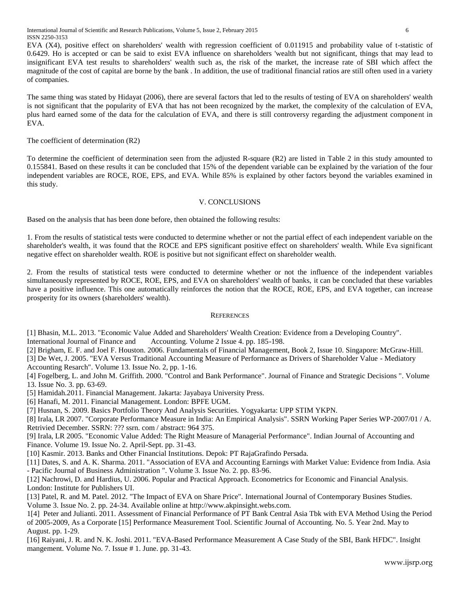International Journal of Scientific and Research Publications, Volume 5, Issue 2, February 2015 6 ISSN 2250-3153

EVA (X4), positive effect on shareholders' wealth with regression coefficient of 0.011915 and probability value of t-statistic of 0.6429. Ho is accepted or can be said to exist EVA influence on shareholders 'wealth but not significant, things that may lead to insignificant EVA test results to shareholders' wealth such as, the risk of the market, the increase rate of SBI which affect the magnitude of the cost of capital are borne by the bank . In addition, the use of traditional financial ratios are still often used in a variety of companies.

The same thing was stated by Hidayat (2006), there are several factors that led to the results of testing of EVA on shareholders' wealth is not significant that the popularity of EVA that has not been recognized by the market, the complexity of the calculation of EVA, plus hard earned some of the data for the calculation of EVA, and there is still controversy regarding the adjustment component in EVA.

The coefficient of determination (R2)

To determine the coefficient of determination seen from the adjusted R-square (R2) are listed in Table 2 in this study amounted to 0.155841. Based on these results it can be concluded that 15% of the dependent variable can be explained by the variation of the four independent variables are ROCE, ROE, EPS, and EVA. While 85% is explained by other factors beyond the variables examined in this study.

## V. CONCLUSIONS

Based on the analysis that has been done before, then obtained the following results:

1. From the results of statistical tests were conducted to determine whether or not the partial effect of each independent variable on the shareholder's wealth, it was found that the ROCE and EPS significant positive effect on shareholders' wealth. While Eva significant negative effect on shareholder wealth. ROE is positive but not significant effect on shareholder wealth.

2. From the results of statistical tests were conducted to determine whether or not the influence of the independent variables simultaneously represented by ROCE, ROE, EPS, and EVA on shareholders' wealth of banks, it can be concluded that these variables have a positive influence. This one automatically reinforces the notion that the ROCE, ROE, EPS, and EVA together, can increase prosperity for its owners (shareholders' wealth).

### **REFERENCES**

[1] Bhasin, M.L. 2013. "Economic Value Added and Shareholders' Wealth Creation: Evidence from a Developing Country".

International Journal of Finance and Accounting. Volume 2 Issue 4. pp. 185-198.

[2] Brigham, E. F. and Joel F. Houston. 2006. Fundamentals of Financial Management, Book 2, Issue 10. Singapore: McGraw-Hill. [3] De Wet, J. 2005. "EVA Versus Traditional Accounting Measure of Performance as Drivers of Shareholder Value - Mediatory Accounting Resarch". Volume 13. Issue No. 2, pp. 1-16.

[4] Fogelberg, L. and John M. Griffith. 2000. "Control and Bank Performance". Journal of Finance and Strategic Decisions ". Volume 13. Issue No. 3. pp. 63-69.

[5] Hamidah.2011. Financial Management. Jakarta: Jayabaya University Press.

[6] Hanafi, M. 2011. Financial Management. London: BPFE UGM.

[7] Husnan, S. 2009. Basics Portfolio Theory And Analysis Securities. Yogyakarta: UPP STIM YKPN.

[8] Irala, LR 2007. "Corporate Performance Measure in India: An Empirical Analysis". SSRN Working Paper Series WP-2007/01 / A. Retrivied December. SSRN: ??? ssrn. com / abstract: 964 375.

[9] Irala, LR 2005. "Economic Value Added: The Right Measure of Managerial Performance". Indian Journal of Accounting and Finance. Volume 19. Issue No. 2. April-Sept. pp. 31-43.

[10] Kasmir. 2013. Banks and Other Financial Institutions. Depok: PT RajaGrafindo Persada.

[11] Dates, S. and A. K. Sharma. 2011. "Association of EVA and Accounting Earnings with Market Value: Evidence from India. Asia - Pacific Journal of Business Administration ". Volume 3. Issue No. 2. pp. 83-96.

[12] Nachrowi, D. and Hardius, U. 2006. Popular and Practical Approach. Econometrics for Economic and Financial Analysis. London: Institute for Publishers UI.

[13] Patel, R. and M. Patel. 2012. "The Impact of EVA on Share Price". International Journal of Contemporary Busines Studies. Volume 3. Issue No. 2. pp. 24-34. Available online at http://www.akpinsight.webs.com.

1[4] Peter and Julianti. 2011. Assessment of Financial Performance of PT Bank Central Asia Tbk with EVA Method Using the Period of 2005-2009, As a Corporate [15] Performance Measurement Tool. Scientific Journal of Accounting. No. 5. Year 2nd. May to August. pp. 1-29.

[16] Raiyani, J. R. and N. K. Joshi. 2011. "EVA-Based Performance Measurement A Case Study of the SBI, Bank HFDC". Insight mangement. Volume No. 7. Issue # 1. June. pp. 31-43.